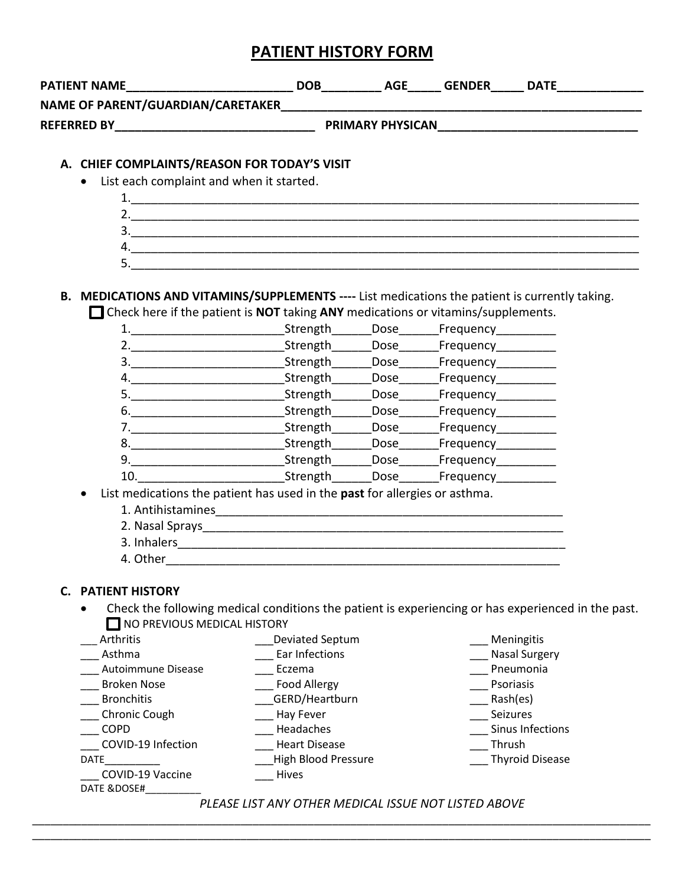## **PATIENT HISTORY FORM**

| <b>PATIENT NAME</b>                                                                                                                                                                       |                                                                                       |  |                                                 |                                                                                                    |  |  |  |
|-------------------------------------------------------------------------------------------------------------------------------------------------------------------------------------------|---------------------------------------------------------------------------------------|--|-------------------------------------------------|----------------------------------------------------------------------------------------------------|--|--|--|
| NAME OF PARENT/GUARDIAN/CARETAKER                                                                                                                                                         |                                                                                       |  |                                                 |                                                                                                    |  |  |  |
| <b>REFERRED BY EXECUTIVE STATES AND REFERRED BY</b><br><b>PRIMARY PHYSICAN EXAMPLE AND THE STATE OF STATE OF STATE OF STATE OF STATE OF STATE OF STATE OF STATE OF STATE</b>              |                                                                                       |  |                                                 |                                                                                                    |  |  |  |
|                                                                                                                                                                                           |                                                                                       |  |                                                 |                                                                                                    |  |  |  |
| A. CHIEF COMPLAINTS/REASON FOR TODAY'S VISIT                                                                                                                                              |                                                                                       |  |                                                 |                                                                                                    |  |  |  |
| • List each complaint and when it started.                                                                                                                                                |                                                                                       |  |                                                 |                                                                                                    |  |  |  |
|                                                                                                                                                                                           |                                                                                       |  |                                                 |                                                                                                    |  |  |  |
|                                                                                                                                                                                           |                                                                                       |  |                                                 |                                                                                                    |  |  |  |
|                                                                                                                                                                                           | 3.                                                                                    |  |                                                 |                                                                                                    |  |  |  |
|                                                                                                                                                                                           | 4.                                                                                    |  |                                                 |                                                                                                    |  |  |  |
|                                                                                                                                                                                           | 5.                                                                                    |  |                                                 |                                                                                                    |  |  |  |
|                                                                                                                                                                                           |                                                                                       |  |                                                 |                                                                                                    |  |  |  |
| B. MEDICATIONS AND VITAMINS/SUPPLEMENTS ---- List medications the patient is currently taking.<br>$\Box$ Check here if the patient is NOT taking ANY medications or vitamins/supplements. |                                                                                       |  |                                                 |                                                                                                    |  |  |  |
|                                                                                                                                                                                           |                                                                                       |  |                                                 |                                                                                                    |  |  |  |
|                                                                                                                                                                                           |                                                                                       |  | _Strength_______Dose_______Frequency___________ |                                                                                                    |  |  |  |
|                                                                                                                                                                                           | 3. _________________________________Strength________Dose________Frequency____________ |  |                                                 |                                                                                                    |  |  |  |
|                                                                                                                                                                                           |                                                                                       |  |                                                 |                                                                                                    |  |  |  |
|                                                                                                                                                                                           |                                                                                       |  |                                                 |                                                                                                    |  |  |  |
|                                                                                                                                                                                           |                                                                                       |  |                                                 |                                                                                                    |  |  |  |
|                                                                                                                                                                                           | 7. Strength Dose Frequency Contract Contract Strength Dose Frequency                  |  |                                                 |                                                                                                    |  |  |  |
|                                                                                                                                                                                           |                                                                                       |  |                                                 |                                                                                                    |  |  |  |
|                                                                                                                                                                                           |                                                                                       |  |                                                 |                                                                                                    |  |  |  |
|                                                                                                                                                                                           | 10. Strength Dose Frequency                                                           |  |                                                 |                                                                                                    |  |  |  |
| List medications the patient has used in the past for allergies or asthma.                                                                                                                |                                                                                       |  |                                                 |                                                                                                    |  |  |  |
|                                                                                                                                                                                           |                                                                                       |  |                                                 |                                                                                                    |  |  |  |
|                                                                                                                                                                                           |                                                                                       |  |                                                 |                                                                                                    |  |  |  |
|                                                                                                                                                                                           |                                                                                       |  |                                                 |                                                                                                    |  |  |  |
| 4. Other                                                                                                                                                                                  |                                                                                       |  |                                                 |                                                                                                    |  |  |  |
|                                                                                                                                                                                           |                                                                                       |  |                                                 |                                                                                                    |  |  |  |
| <b>C. PATIENT HISTORY</b>                                                                                                                                                                 |                                                                                       |  |                                                 |                                                                                                    |  |  |  |
|                                                                                                                                                                                           |                                                                                       |  |                                                 | Check the following medical conditions the patient is experiencing or has experienced in the past. |  |  |  |
| NO PREVIOUS MEDICAL HISTORY                                                                                                                                                               |                                                                                       |  |                                                 |                                                                                                    |  |  |  |
| Arthritis                                                                                                                                                                                 | <b>Deviated Septum</b>                                                                |  |                                                 | Meningitis                                                                                         |  |  |  |
| Asthma                                                                                                                                                                                    | Ear Infections                                                                        |  |                                                 | <b>Nasal Surgery</b>                                                                               |  |  |  |
| Autoimmune Disease                                                                                                                                                                        | Eczema                                                                                |  |                                                 | Pneumonia                                                                                          |  |  |  |
| <b>Broken Nose</b>                                                                                                                                                                        | <b>Food Allergy</b>                                                                   |  |                                                 | Psoriasis                                                                                          |  |  |  |
| <b>Bronchitis</b>                                                                                                                                                                         | GERD/Heartburn                                                                        |  |                                                 | Rash(es)                                                                                           |  |  |  |
| Chronic Cough                                                                                                                                                                             | Hay Fever                                                                             |  |                                                 | Seizures                                                                                           |  |  |  |
| <b>COPD</b>                                                                                                                                                                               | Headaches                                                                             |  |                                                 | Sinus Infections                                                                                   |  |  |  |
| COVID-19 Infection                                                                                                                                                                        | <b>Heart Disease</b>                                                                  |  | Thrush                                          |                                                                                                    |  |  |  |
| DATE                                                                                                                                                                                      | <b>High Blood Pressure</b>                                                            |  |                                                 | <b>Thyroid Disease</b>                                                                             |  |  |  |

*PLEASE LIST ANY OTHER MEDICAL ISSUE NOT LISTED ABOVE*

\_\_\_\_\_\_\_\_\_\_\_\_\_\_\_\_\_\_\_\_\_\_\_\_\_\_\_\_\_\_\_\_\_\_\_\_\_\_\_\_\_\_\_\_\_\_\_\_\_\_\_\_\_\_\_\_\_\_\_\_\_\_\_\_\_\_\_\_\_\_\_\_\_\_\_\_\_\_\_\_\_\_\_\_\_\_\_\_\_\_\_\_\_\_\_\_\_\_\_\_\_ \_\_\_\_\_\_\_\_\_\_\_\_\_\_\_\_\_\_\_\_\_\_\_\_\_\_\_\_\_\_\_\_\_\_\_\_\_\_\_\_\_\_\_\_\_\_\_\_\_\_\_\_\_\_\_\_\_\_\_\_\_\_\_\_\_\_\_\_\_\_\_\_\_\_\_\_\_\_\_\_\_\_\_\_\_\_\_\_\_\_\_\_\_\_\_\_\_\_\_\_\_

\_\_\_ Hives

\_\_\_ COVID-19 Vaccine DATE &DOSE#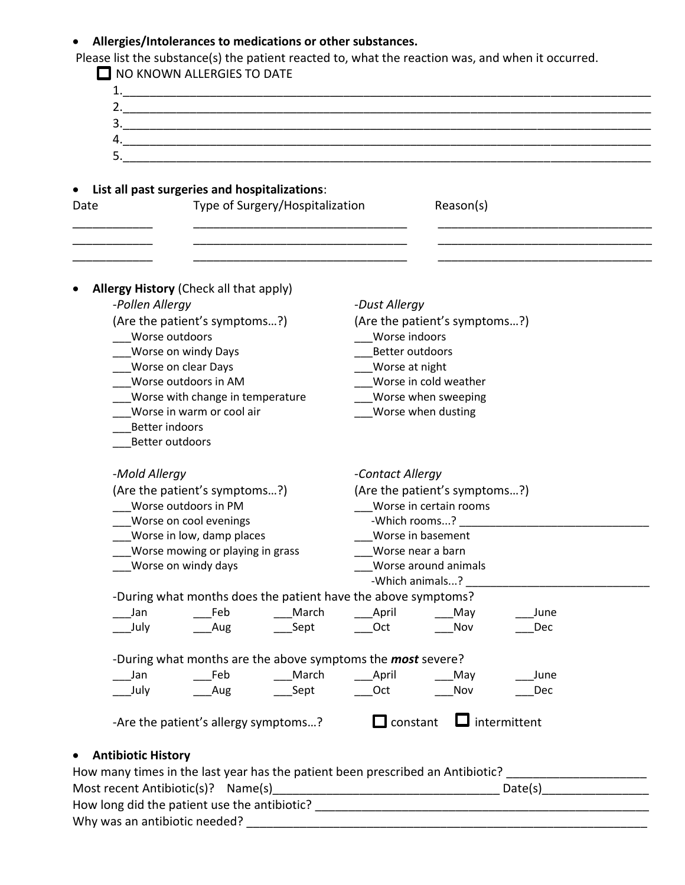## • **Allergies/Intolerances to medications or other substances.**

Please list the substance(s) the patient reacted to, what the reaction was, and when it occurred.

| $\Box$ NO KNOWN ALLERGIES TO DATE                                              |                                                                                                                      |  |  |
|--------------------------------------------------------------------------------|----------------------------------------------------------------------------------------------------------------------|--|--|
|                                                                                |                                                                                                                      |  |  |
|                                                                                |                                                                                                                      |  |  |
|                                                                                |                                                                                                                      |  |  |
|                                                                                | 4.                                                                                                                   |  |  |
|                                                                                |                                                                                                                      |  |  |
| List all past surgeries and hospitalizations:                                  |                                                                                                                      |  |  |
| Type of Surgery/Hospitalization<br>Date                                        | Reason(s)                                                                                                            |  |  |
|                                                                                |                                                                                                                      |  |  |
| <b>Allergy History (Check all that apply)</b>                                  |                                                                                                                      |  |  |
| -Pollen Allergy                                                                | -Dust Allergy                                                                                                        |  |  |
| (Are the patient's symptoms?)                                                  | (Are the patient's symptoms?)                                                                                        |  |  |
| Worse outdoors                                                                 | Worse indoors                                                                                                        |  |  |
| Worse on windy Days                                                            | Better outdoors                                                                                                      |  |  |
| Worse on clear Days                                                            | Worse at night                                                                                                       |  |  |
| Worse outdoors in AM                                                           | Worse in cold weather                                                                                                |  |  |
| Worse with change in temperature<br>Worse in warm or cool air                  | Worse when sweeping<br>Worse when dusting                                                                            |  |  |
| <b>Better indoors</b>                                                          |                                                                                                                      |  |  |
| Better outdoors                                                                |                                                                                                                      |  |  |
|                                                                                |                                                                                                                      |  |  |
| -Mold Allergy                                                                  | -Contact Allergy                                                                                                     |  |  |
| (Are the patient's symptoms?)                                                  | (Are the patient's symptoms?)                                                                                        |  |  |
| Worse outdoors in PM                                                           | Worse in certain rooms                                                                                               |  |  |
| Worse on cool evenings                                                         |                                                                                                                      |  |  |
| Worse in low, damp places                                                      | Worse in basement                                                                                                    |  |  |
| Worse mowing or playing in grass                                               | Worse near a barn                                                                                                    |  |  |
| Worse on windy days                                                            | Worse around animals                                                                                                 |  |  |
|                                                                                | -Which animals?                                                                                                      |  |  |
| -During what months does the patient have the above symptoms?                  |                                                                                                                      |  |  |
| March<br>Feb<br>Jan                                                            | April<br>____ May<br>June                                                                                            |  |  |
| July<br>Aug<br>Sept                                                            | Oct<br>Nov<br>Dec                                                                                                    |  |  |
| -During what months are the above symptoms the <b>most</b> severe?             |                                                                                                                      |  |  |
| March<br>Feb<br>Jan                                                            | April<br>May<br>June                                                                                                 |  |  |
| July<br>Aug<br>Sept                                                            | Oct<br>Nov<br>Dec                                                                                                    |  |  |
| -Are the patient's allergy symptoms?                                           | $\Box$ intermittent<br>$\Box$ constant                                                                               |  |  |
| <b>Antibiotic History</b>                                                      |                                                                                                                      |  |  |
| How many times in the last year has the patient been prescribed an Antibiotic? | <u> 1980 - Jan Samuel Barbara, político e a f</u>                                                                    |  |  |
| Most recent Antibiotic(s)? Name(s)                                             |                                                                                                                      |  |  |
|                                                                                |                                                                                                                      |  |  |
| Why was an antibiotic needed?                                                  | <u> 2000 - Jan James Barnett, mars and de la propinsie de la propinsie de la propinsie de la propinsie de la pro</u> |  |  |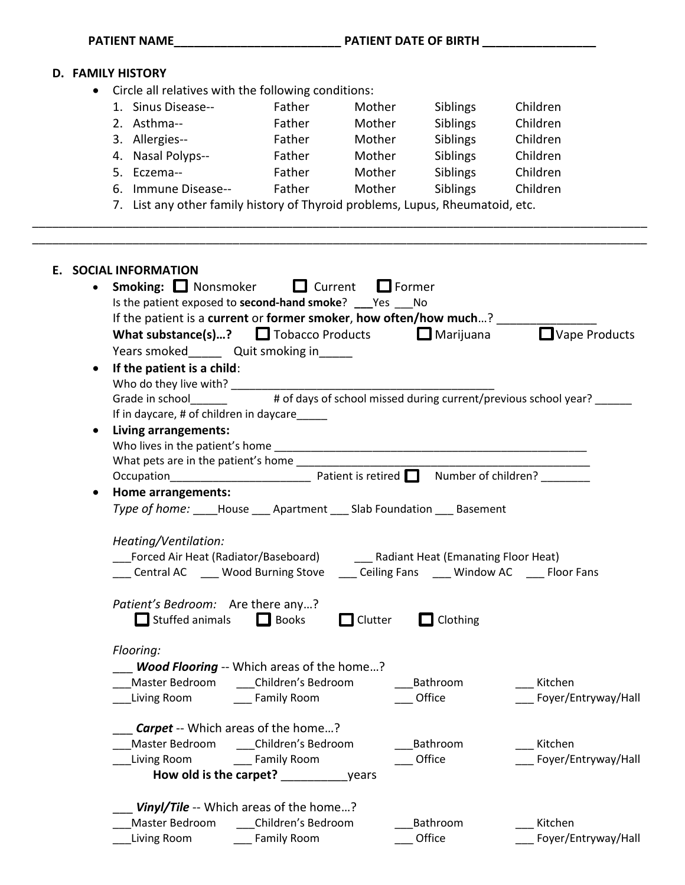|                                                                               | <b>D. FAMILY HISTORY</b>                                                                                         |                         |                |                 |                      |  |  |  |
|-------------------------------------------------------------------------------|------------------------------------------------------------------------------------------------------------------|-------------------------|----------------|-----------------|----------------------|--|--|--|
|                                                                               | • Circle all relatives with the following conditions:                                                            |                         |                |                 |                      |  |  |  |
|                                                                               | 1. Sinus Disease--                                                                                               | Father                  | Mother         | Siblings        | Children             |  |  |  |
|                                                                               | 2. Asthma--                                                                                                      | Father                  | Mother         | Siblings        | Children             |  |  |  |
|                                                                               | 3. Allergies--                                                                                                   | Father                  | Mother         | Siblings        | Children             |  |  |  |
|                                                                               | 4. Nasal Polyps--                                                                                                | <b>Example 1</b> Father | Mother         | Siblings        | Children             |  |  |  |
|                                                                               | 5. Eczema--                                                                                                      | Father                  | Mother         | Siblings        | Children             |  |  |  |
|                                                                               | 6. Immune Disease-- Father Mother                                                                                |                         |                |                 | Siblings Children    |  |  |  |
| 7. List any other family history of Thyroid problems, Lupus, Rheumatoid, etc. |                                                                                                                  |                         |                |                 |                      |  |  |  |
|                                                                               | E. SOCIAL INFORMATION<br>Smoking: □ Nonsmoker □ Current                                                          |                         | $\Box$ Former  |                 |                      |  |  |  |
|                                                                               | Is the patient exposed to second-hand smoke? ___ Yes ___ No                                                      |                         |                |                 |                      |  |  |  |
|                                                                               | If the patient is a current or former smoker, how often/how much? ______                                         |                         |                |                 | Vape Products        |  |  |  |
|                                                                               | <b>What substance(s)?</b> $\Box$ Tobacco Products $\Box$ Marijuana<br>Years smoked________ Quit smoking in______ |                         |                |                 |                      |  |  |  |
| $\bullet$                                                                     | If the patient is a child:                                                                                       |                         |                |                 |                      |  |  |  |
|                                                                               |                                                                                                                  |                         |                |                 |                      |  |  |  |
|                                                                               |                                                                                                                  |                         |                |                 |                      |  |  |  |
|                                                                               | If in daycare, # of children in daycare_____                                                                     |                         |                |                 |                      |  |  |  |
| $\bullet$                                                                     | Living arrangements:                                                                                             |                         |                |                 |                      |  |  |  |
|                                                                               |                                                                                                                  |                         |                |                 |                      |  |  |  |
|                                                                               |                                                                                                                  |                         |                |                 |                      |  |  |  |
|                                                                               |                                                                                                                  |                         |                |                 |                      |  |  |  |
| $\bullet$                                                                     | Home arrangements:                                                                                               |                         |                |                 |                      |  |  |  |
|                                                                               | Type of home: _____House _____ Apartment _____ Slab Foundation _____ Basement                                    |                         |                |                 |                      |  |  |  |
|                                                                               | Heating/Ventilation:                                                                                             |                         |                |                 |                      |  |  |  |
|                                                                               | Forced Air Heat (Radiator/Baseboard) _______ Radiant Heat (Emanating Floor Heat)                                 |                         |                |                 |                      |  |  |  |
|                                                                               | __ Central AC ____ Wood Burning Stove ____ Ceiling Fans ____ Window AC ____ Floor Fans                           |                         |                |                 |                      |  |  |  |
|                                                                               |                                                                                                                  |                         |                |                 |                      |  |  |  |
|                                                                               | Patient's Bedroom: Are there any?<br>$\Box$ Stuffed animals                                                      | <b>Books</b>            | $\Box$ Clutter | $\Box$ Clothing |                      |  |  |  |
|                                                                               | Flooring:                                                                                                        |                         |                |                 |                      |  |  |  |
|                                                                               | <b>Wood Flooring</b> -- Which areas of the home?                                                                 |                         |                |                 |                      |  |  |  |
|                                                                               | _Master Bedroom    ____Children's Bedroom                                                                        |                         |                | ____Bathroom    | __ Kitchen           |  |  |  |
|                                                                               | Living Room Later Camily Room                                                                                    |                         |                | __ Office       | _Foyer/Entryway/Hall |  |  |  |
|                                                                               | <b>Carpet</b> -- Which areas of the home?                                                                        |                         |                |                 |                      |  |  |  |
|                                                                               | Master Bedroom ____Children's Bedroom                                                                            |                         |                | ____ Bathroom   | Kitchen              |  |  |  |
|                                                                               | Living Room Lightnam Communication Communication Communication Communication Communication Communication Commu   |                         |                | Office          | Foyer/Entryway/Hall  |  |  |  |
|                                                                               |                                                                                                                  |                         |                |                 |                      |  |  |  |
|                                                                               | Vinyl/Tile -- Which areas of the home?                                                                           |                         |                |                 |                      |  |  |  |
|                                                                               | Master Bedroom ____Children's Bedroom                                                                            |                         |                | Bathroom        | Kitchen              |  |  |  |
|                                                                               | Living Room Family Room                                                                                          |                         |                | Office          | Foyer/Entryway/Hall  |  |  |  |